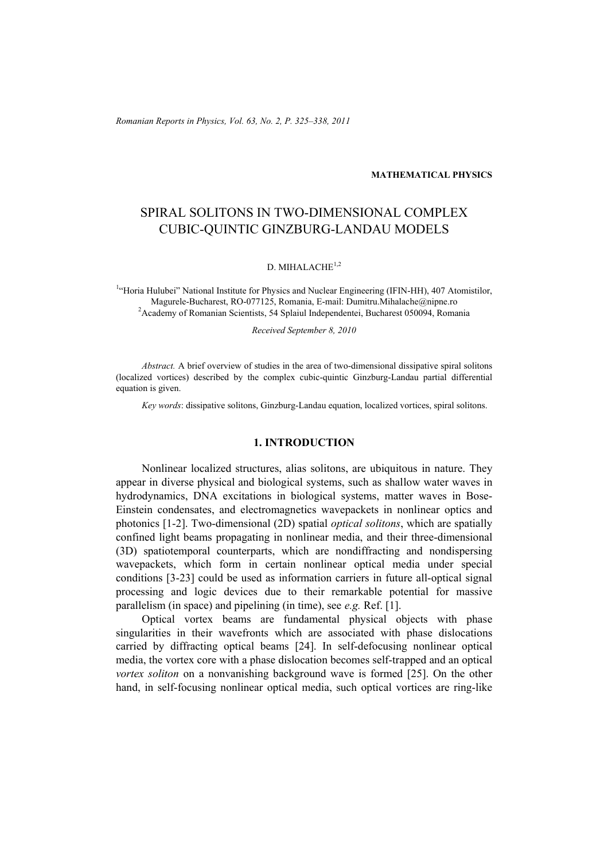*Romanian Reports in Physics, Vol. 63, No. 2, P. 325–338, 2011*

#### **MATHEMATICAL PHYSICS**

# SPIRAL SOLITONS IN TWO-DIMENSIONAL COMPLEX CUBIC-QUINTIC GINZBURG-LANDAU MODELS

## D. MIHALACHE<sup>1,2</sup>

<sup>1</sup>"Horia Hulubei" National Institute for Physics and Nuclear Engineering (IFIN-HH), 407 Atomistilor, Magurele-Bucharest, RO-077125, Romania, E-mail: Dumitru.Mihalache@nipne.ro 2 <sup>2</sup> Academy of Romanian Scientists, 54 Splaiul Independentei, Bucharest 050094, Romania

*Received September 8, 2010* 

*Abstract.* A brief overview of studies in the area of two-dimensional dissipative spiral solitons (localized vortices) described by the complex cubic-quintic Ginzburg-Landau partial differential equation is given.

*Key words*: dissipative solitons, Ginzburg-Landau equation, localized vortices, spiral solitons.

## **1. INTRODUCTION**

Nonlinear localized structures, alias solitons, are ubiquitous in nature. They appear in diverse physical and biological systems, such as shallow water waves in hydrodynamics, DNA excitations in biological systems, matter waves in Bose-Einstein condensates, and electromagnetics wavepackets in nonlinear optics and photonics [1-2]. Two-dimensional (2D) spatial *optical solitons*, which are spatially confined light beams propagating in nonlinear media, and their three-dimensional (3D) spatiotemporal counterparts, which are nondiffracting and nondispersing wavepackets, which form in certain nonlinear optical media under special conditions [3-23] could be used as information carriers in future all-optical signal processing and logic devices due to their remarkable potential for massive parallelism (in space) and pipelining (in time), see *e.g.* Ref. [1].

Optical vortex beams are fundamental physical objects with phase singularities in their wavefronts which are associated with phase dislocations carried by diffracting optical beams [24]. In self-defocusing nonlinear optical media, the vortex core with a phase dislocation becomes self-trapped and an optical *vortex soliton* on a nonvanishing background wave is formed [25]. On the other hand, in self-focusing nonlinear optical media, such optical vortices are ring-like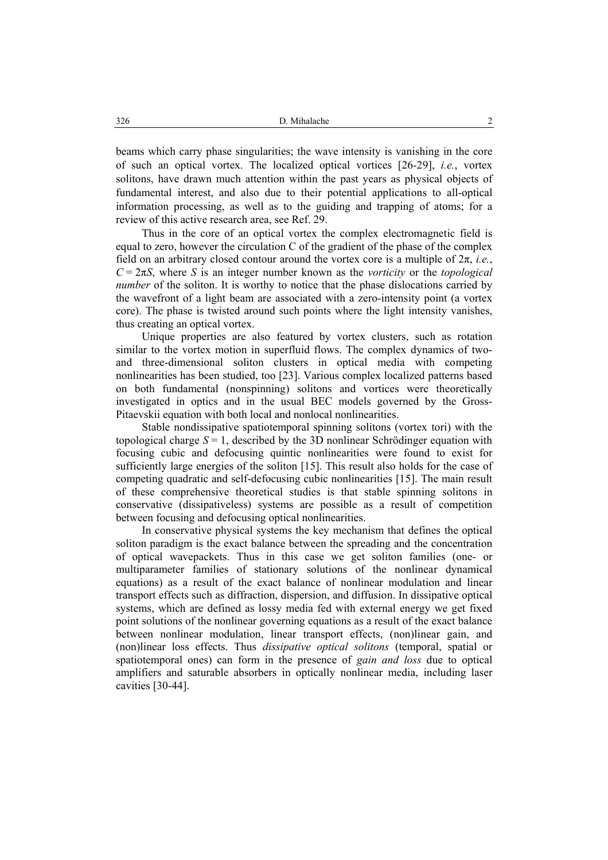beams which carry phase singularities; the wave intensity is vanishing in the core of such an optical vortex. The localized optical vortices [26-29], *i.e.*, vortex solitons, have drawn much attention within the past years as physical objects of fundamental interest, and also due to their potential applications to all-optical information processing, as well as to the guiding and trapping of atoms; for a review of this active research area, see Ref. 29.

Thus in the core of an optical vortex the complex electromagnetic field is equal to zero, however the circulation C of the gradient of the phase of the complex field on an arbitrary closed contour around the vortex core is a multiple of 2π, *i.e.*,  $C = 2\pi S$ , where *S* is an integer number known as the *vorticity* or the *topological number* of the soliton. It is worthy to notice that the phase dislocations carried by the wavefront of a light beam are associated with a zero-intensity point (a vortex core). The phase is twisted around such points where the light intensity vanishes, thus creating an optical vortex.

Unique properties are also featured by vortex clusters, such as rotation similar to the vortex motion in superfluid flows. The complex dynamics of twoand three-dimensional soliton clusters in optical media with competing nonlinearities has been studied, too [23]. Various complex localized patterns based on both fundamental (nonspinning) solitons and vortices were theoretically investigated in optics and in the usual BEC models governed by the Gross-Pitaevskii equation with both local and nonlocal nonlinearities.

Stable nondissipative spatiotemporal spinning solitons (vortex tori) with the topological charge  $S = 1$ , described by the 3D nonlinear Schrödinger equation with focusing cubic and defocusing quintic nonlinearities were found to exist for sufficiently large energies of the soliton [15]. This result also holds for the case of competing quadratic and self-defocusing cubic nonlinearities [15]. The main result of these comprehensive theoretical studies is that stable spinning solitons in conservative (dissipativeless) systems are possible as a result of competition between focusing and defocusing optical nonlinearities.

In conservative physical systems the key mechanism that defines the optical soliton paradigm is the exact balance between the spreading and the concentration of optical wavepackets. Thus in this case we get soliton families (one- or multiparameter families of stationary solutions of the nonlinear dynamical equations) as a result of the exact balance of nonlinear modulation and linear transport effects such as diffraction, dispersion, and diffusion. In dissipative optical systems, which are defined as lossy media fed with external energy we get fixed point solutions of the nonlinear governing equations as a result of the exact balance between nonlinear modulation, linear transport effects, (non)linear gain, and (non)linear loss effects. Thus *dissipative optical solitons* (temporal, spatial or spatiotemporal ones) can form in the presence of *gain and loss* due to optical amplifiers and saturable absorbers in optically nonlinear media, including laser cavities [30-44].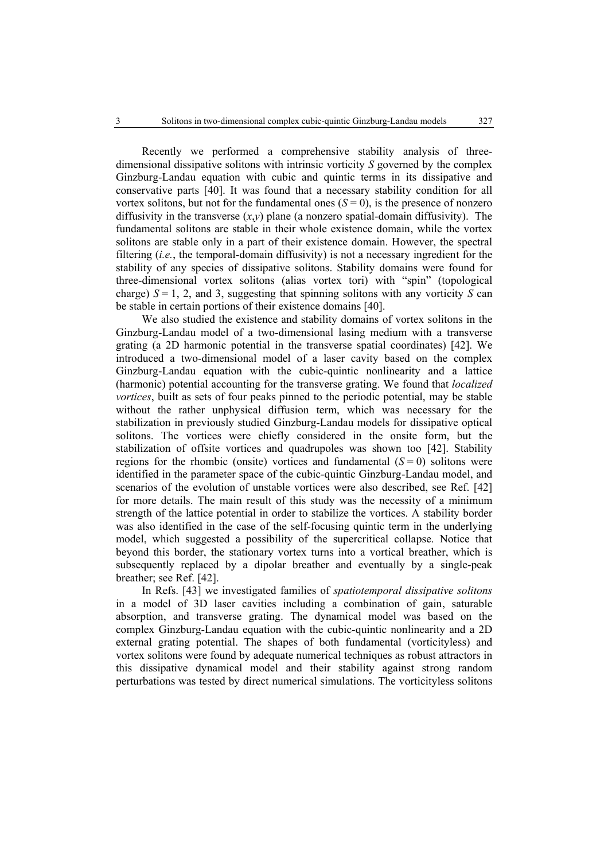Recently we performed a comprehensive stability analysis of threedimensional dissipative solitons with intrinsic vorticity *S* governed by the complex Ginzburg-Landau equation with cubic and quintic terms in its dissipative and conservative parts [40]. It was found that a necessary stability condition for all vortex solitons, but not for the fundamental ones  $(S = 0)$ , is the presence of nonzero diffusivity in the transverse  $(x,y)$  plane (a nonzero spatial-domain diffusivity). The fundamental solitons are stable in their whole existence domain, while the vortex solitons are stable only in a part of their existence domain. However, the spectral filtering (*i.e.*, the temporal-domain diffusivity) is not a necessary ingredient for the stability of any species of dissipative solitons. Stability domains were found for three-dimensional vortex solitons (alias vortex tori) with "spin" (topological charge)  $S = 1$ , 2, and 3, suggesting that spinning solitons with any vorticity  $S$  can be stable in certain portions of their existence domains [40].

We also studied the existence and stability domains of vortex solitons in the Ginzburg-Landau model of a two-dimensional lasing medium with a transverse grating (a 2D harmonic potential in the transverse spatial coordinates) [42]. We introduced a two-dimensional model of a laser cavity based on the complex Ginzburg-Landau equation with the cubic-quintic nonlinearity and a lattice (harmonic) potential accounting for the transverse grating. We found that *localized vortices*, built as sets of four peaks pinned to the periodic potential, may be stable without the rather unphysical diffusion term, which was necessary for the stabilization in previously studied Ginzburg-Landau models for dissipative optical solitons. The vortices were chiefly considered in the onsite form, but the stabilization of offsite vortices and quadrupoles was shown too [42]. Stability regions for the rhombic (onsite) vortices and fundamental  $(S = 0)$  solitons were identified in the parameter space of the cubic-quintic Ginzburg-Landau model, and scenarios of the evolution of unstable vortices were also described, see Ref. [42] for more details. The main result of this study was the necessity of a minimum strength of the lattice potential in order to stabilize the vortices. A stability border was also identified in the case of the self-focusing quintic term in the underlying model, which suggested a possibility of the supercritical collapse. Notice that beyond this border, the stationary vortex turns into a vortical breather, which is subsequently replaced by a dipolar breather and eventually by a single-peak breather; see Ref. [42].

In Refs. [43] we investigated families of *spatiotemporal dissipative solitons* in a model of 3D laser cavities including a combination of gain, saturable absorption, and transverse grating. The dynamical model was based on the complex Ginzburg-Landau equation with the cubic-quintic nonlinearity and a 2D external grating potential. The shapes of both fundamental (vorticityless) and vortex solitons were found by adequate numerical techniques as robust attractors in this dissipative dynamical model and their stability against strong random perturbations was tested by direct numerical simulations. The vorticityless solitons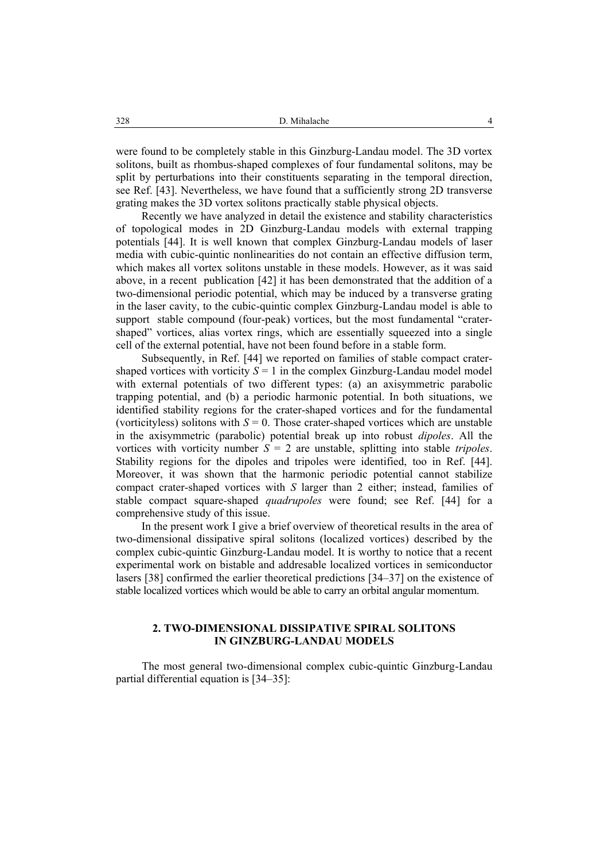were found to be completely stable in this Ginzburg-Landau model. The 3D vortex solitons, built as rhombus-shaped complexes of four fundamental solitons, may be split by perturbations into their constituents separating in the temporal direction, see Ref. [43]. Nevertheless, we have found that a sufficiently strong 2D transverse grating makes the 3D vortex solitons practically stable physical objects.

Recently we have analyzed in detail the existence and stability characteristics of topological modes in 2D Ginzburg-Landau models with external trapping potentials [44]. It is well known that complex Ginzburg-Landau models of laser media with cubic-quintic nonlinearities do not contain an effective diffusion term, which makes all vortex solitons unstable in these models. However, as it was said above, in a recent publication [42] it has been demonstrated that the addition of a two-dimensional periodic potential, which may be induced by a transverse grating in the laser cavity, to the cubic-quintic complex Ginzburg-Landau model is able to support stable compound (four-peak) vortices, but the most fundamental "cratershaped" vortices, alias vortex rings, which are essentially squeezed into a single cell of the external potential, have not been found before in a stable form.

Subsequently, in Ref. [44] we reported on families of stable compact cratershaped vortices with vorticity  $S = 1$  in the complex Ginzburg-Landau model model with external potentials of two different types: (a) an axisymmetric parabolic trapping potential, and (b) a periodic harmonic potential. In both situations, we identified stability regions for the crater-shaped vortices and for the fundamental (vorticityless) solitons with  $S = 0$ . Those crater-shaped vortices which are unstable in the axisymmetric (parabolic) potential break up into robust *dipoles*. All the vortices with vorticity number *S* = 2 are unstable, splitting into stable *tripoles*. Stability regions for the dipoles and tripoles were identified, too in Ref. [44]. Moreover, it was shown that the harmonic periodic potential cannot stabilize compact crater-shaped vortices with *S* larger than 2 either; instead, families of stable compact square-shaped *quadrupoles* were found; see Ref. [44] for a comprehensive study of this issue.

In the present work I give a brief overview of theoretical results in the area of two-dimensional dissipative spiral solitons (localized vortices) described by the complex cubic-quintic Ginzburg-Landau model. It is worthy to notice that a recent experimental work on bistable and addresable localized vortices in semiconductor lasers [38] confirmed the earlier theoretical predictions [34–37] on the existence of stable localized vortices which would be able to carry an orbital angular momentum.

## **2. TWO-DIMENSIONAL DISSIPATIVE SPIRAL SOLITONS IN GINZBURG-LANDAU MODELS**

The most general two-dimensional complex cubic-quintic Ginzburg-Landau partial differential equation is [34–35]: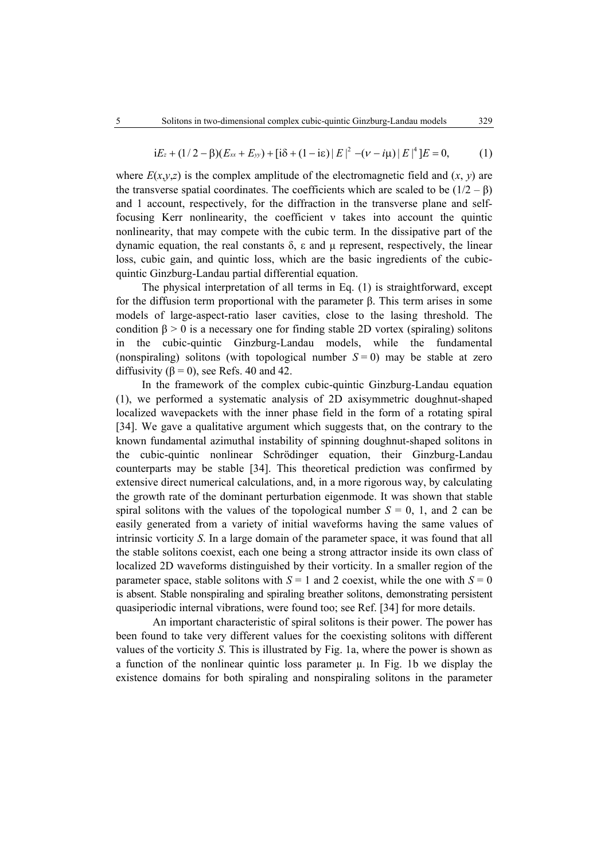$$
iE_z + (1/2 - \beta)(E_{xx} + E_{yy}) + [i\delta + (1 - i\epsilon)|E|^2 - (\nu - i\mu)|E|^4]E = 0,
$$
 (1)

where  $E(x, y, z)$  is the complex amplitude of the electromagnetic field and  $(x, y)$  are the transverse spatial coordinates. The coefficients which are scaled to be  $(1/2 - \beta)$ and 1 account, respectively, for the diffraction in the transverse plane and selffocusing Kerr nonlinearity, the coefficient ν takes into account the quintic nonlinearity, that may compete with the cubic term. In the dissipative part of the dynamic equation, the real constants  $\delta$ , ε and μ represent, respectively, the linear loss, cubic gain, and quintic loss, which are the basic ingredients of the cubicquintic Ginzburg-Landau partial differential equation.

The physical interpretation of all terms in Eq. (1) is straightforward, except for the diffusion term proportional with the parameter β. This term arises in some models of large-aspect-ratio laser cavities, close to the lasing threshold. The condition  $\beta > 0$  is a necessary one for finding stable 2D vortex (spiraling) solitons in the cubic-quintic Ginzburg-Landau models, while the fundamental (nonspiraling) solitons (with topological number  $S = 0$ ) may be stable at zero diffusivity ( $\beta = 0$ ), see Refs. 40 and 42.

In the framework of the complex cubic-quintic Ginzburg-Landau equation (1), we performed a systematic analysis of 2D axisymmetric doughnut-shaped localized wavepackets with the inner phase field in the form of a rotating spiral [34]. We gave a qualitative argument which suggests that, on the contrary to the known fundamental azimuthal instability of spinning doughnut-shaped solitons in the cubic-quintic nonlinear Schrödinger equation, their Ginzburg-Landau counterparts may be stable [34]. This theoretical prediction was confirmed by extensive direct numerical calculations, and, in a more rigorous way, by calculating the growth rate of the dominant perturbation eigenmode. It was shown that stable spiral solitons with the values of the topological number  $S = 0$ , 1, and 2 can be easily generated from a variety of initial waveforms having the same values of intrinsic vorticity *S*. In a large domain of the parameter space, it was found that all the stable solitons coexist, each one being a strong attractor inside its own class of localized 2D waveforms distinguished by their vorticity. In a smaller region of the parameter space, stable solitons with  $S = 1$  and 2 coexist, while the one with  $S = 0$ is absent. Stable nonspiraling and spiraling breather solitons, demonstrating persistent quasiperiodic internal vibrations, were found too; see Ref. [34] for more details.

An important characteristic of spiral solitons is their power. The power has been found to take very different values for the coexisting solitons with different values of the vorticity *S*. This is illustrated by Fig. 1a, where the power is shown as a function of the nonlinear quintic loss parameter  $\mu$ . In Fig. 1b we display the existence domains for both spiraling and nonspiraling solitons in the parameter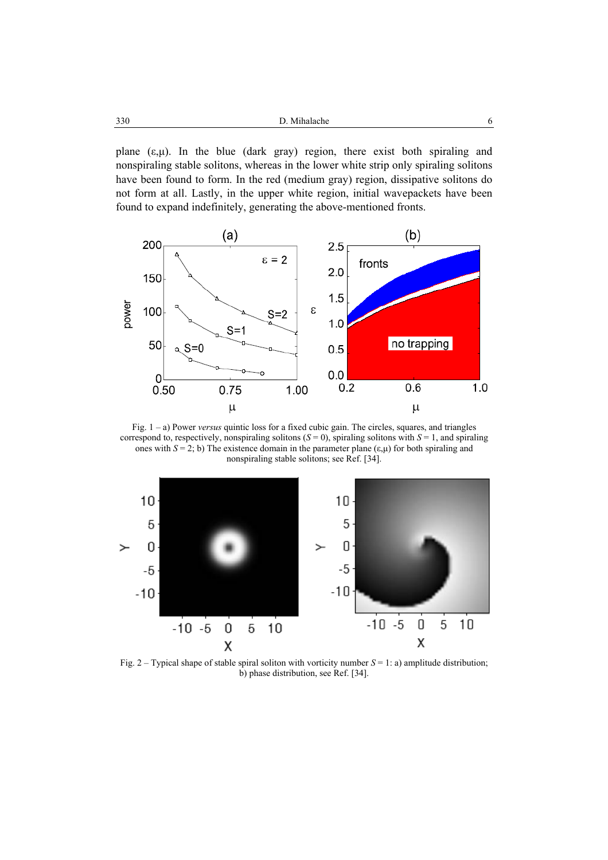| 330<br>D. Mihalache<br>. |  |
|--------------------------|--|
|--------------------------|--|

plane  $(\varepsilon, \mu)$ . In the blue (dark gray) region, there exist both spiraling and nonspiraling stable solitons, whereas in the lower white strip only spiraling solitons have been found to form. In the red (medium gray) region, dissipative solitons do not form at all. Lastly, in the upper white region, initial wavepackets have been found to expand indefinitely, generating the above-mentioned fronts.



Fig. 1 – a) Power *versus* quintic loss for a fixed cubic gain. The circles, squares, and triangles correspond to, respectively, nonspiraling solitons  $(S = 0)$ , spiraling solitons with  $S = 1$ , and spiraling ones with  $S = 2$ ; b) The existence domain in the parameter plane ( $\varepsilon, \mu$ ) for both spiraling and nonspiraling stable solitons; see Ref. [34].



Fig. 2 – Typical shape of stable spiral soliton with vorticity number *S* = 1: a) amplitude distribution; b) phase distribution, see Ref. [34].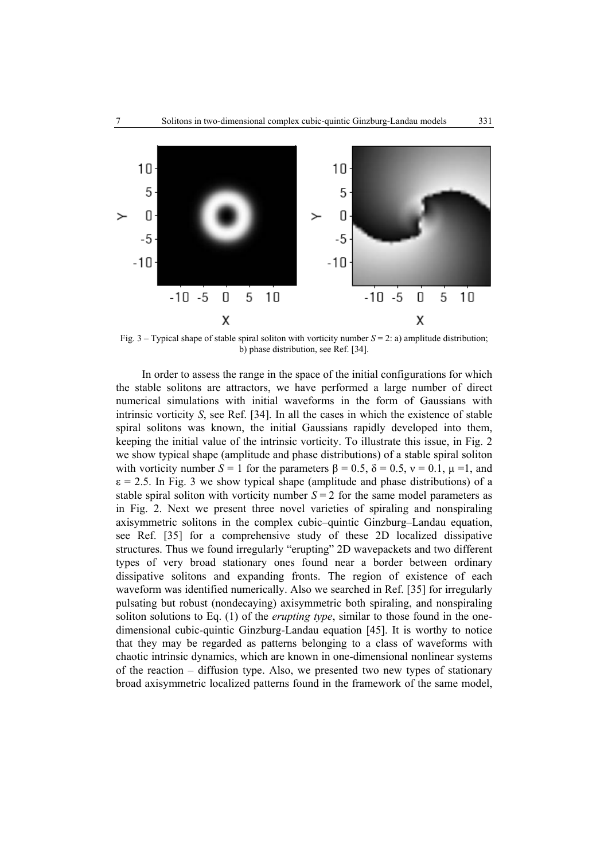

Fig.  $3 -$  Typical shape of stable spiral soliton with vorticity number  $S = 2$ : a) amplitude distribution; b) phase distribution, see Ref. [34].

In order to assess the range in the space of the initial configurations for which the stable solitons are attractors, we have performed a large number of direct numerical simulations with initial waveforms in the form of Gaussians with intrinsic vorticity *S*, see Ref. [34]. In all the cases in which the existence of stable spiral solitons was known, the initial Gaussians rapidly developed into them, keeping the initial value of the intrinsic vorticity. To illustrate this issue, in Fig. 2 we show typical shape (amplitude and phase distributions) of a stable spiral soliton with vorticity number  $S = 1$  for the parameters  $\beta = 0.5$ ,  $\delta = 0.5$ ,  $v = 0.1$ ,  $\mu = 1$ , and  $\varepsilon$  = 2.5. In Fig. 3 we show typical shape (amplitude and phase distributions) of a stable spiral soliton with vorticity number  $S = 2$  for the same model parameters as in Fig. 2. Next we present three novel varieties of spiraling and nonspiraling axisymmetric solitons in the complex cubic–quintic Ginzburg–Landau equation, see Ref. [35] for a comprehensive study of these 2D localized dissipative structures. Thus we found irregularly "erupting" 2D wavepackets and two different types of very broad stationary ones found near a border between ordinary dissipative solitons and expanding fronts. The region of existence of each waveform was identified numerically. Also we searched in Ref. [35] for irregularly pulsating but robust (nondecaying) axisymmetric both spiraling, and nonspiraling soliton solutions to Eq. (1) of the *erupting type*, similar to those found in the onedimensional cubic-quintic Ginzburg-Landau equation [45]. It is worthy to notice that they may be regarded as patterns belonging to a class of waveforms with chaotic intrinsic dynamics, which are known in one-dimensional nonlinear systems of the reaction – diffusion type. Also, we presented two new types of stationary broad axisymmetric localized patterns found in the framework of the same model,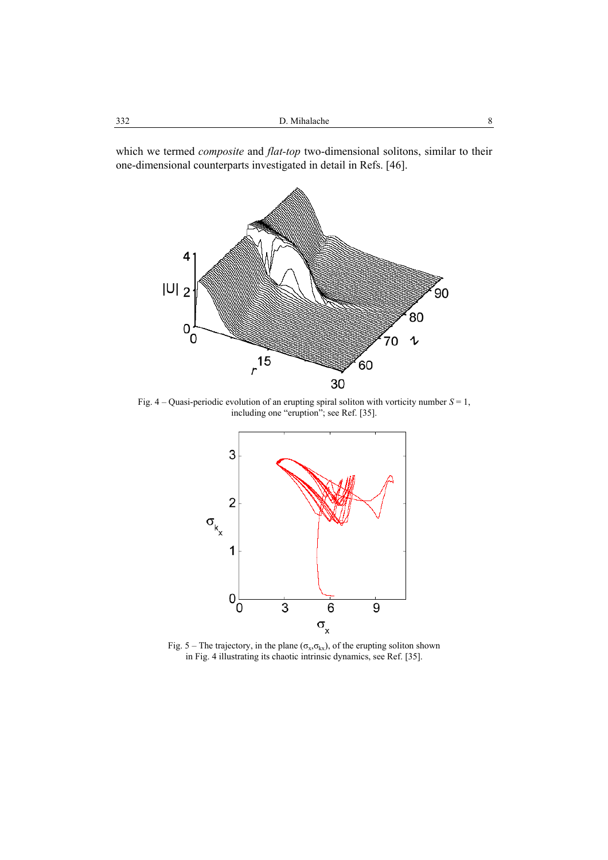which we termed *composite* and *flat-top* two-dimensional solitons, similar to their one-dimensional counterparts investigated in detail in Refs. [46].



Fig. 4 – Quasi-periodic evolution of an erupting spiral soliton with vorticity number *S* = 1, including one "eruption"; see Ref. [35].



Fig. 5 – The trajectory, in the plane ( $\sigma_x, \sigma_{kx}$ ), of the erupting soliton shown in Fig. 4 illustrating its chaotic intrinsic dynamics, see Ref. [35].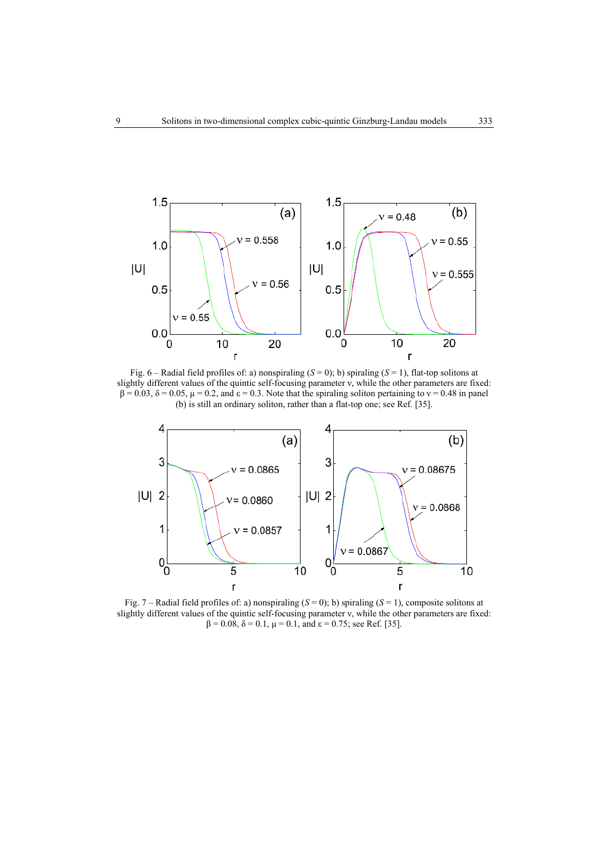

Fig.  $6$  – Radial field profiles of: a) nonspiraling ( $S = 0$ ); b) spiraling ( $S = 1$ ), flat-top solitons at slightly different values of the quintic self-focusing parameter ν, while the other parameters are fixed:  $β = 0.03$ ,  $δ = 0.05$ ,  $μ = 0.2$ , and  $ε = 0.3$ . Note that the spiraling soliton pertaining to  $ν = 0.48$  in panel (b) is still an ordinary soliton, rather than a flat-top one; see Ref. [35].



Fig. 7 – Radial field profiles of: a) nonspiraling (*S* = 0); b) spiraling (*S* = 1), composite solitons at slightly different values of the quintic self-focusing parameter ν, while the other parameters are fixed:  $\beta = 0.08$ ,  $\delta = 0.1$ ,  $\mu = 0.1$ , and  $\epsilon = 0.75$ ; see Ref. [35].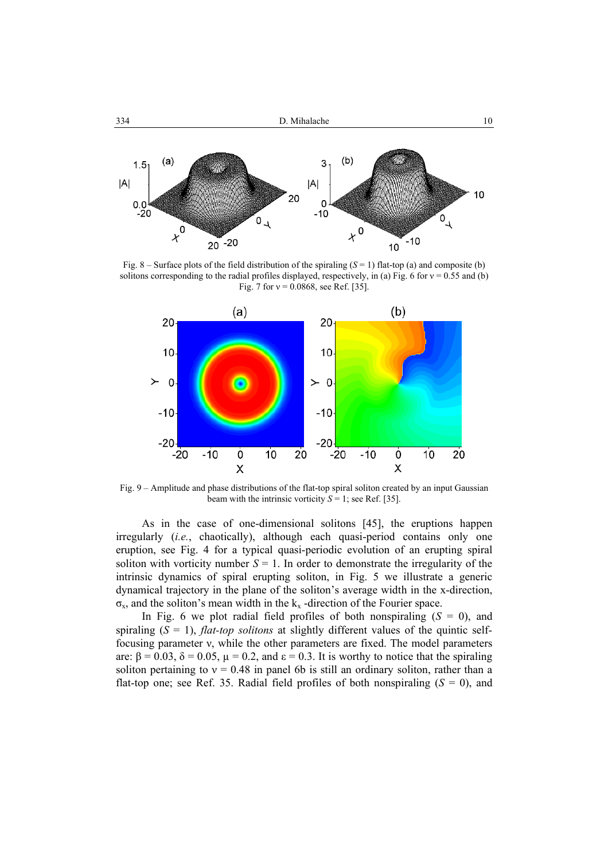

Fig.  $8 -$  Surface plots of the field distribution of the spiraling  $(S = 1)$  flat-top (a) and composite (b) solitons corresponding to the radial profiles displayed, respectively, in (a) Fig. 6 for  $v = 0.55$  and (b) Fig. 7 for  $v = 0.0868$ , see Ref. [35].



Fig. 9 – Amplitude and phase distributions of the flat-top spiral soliton created by an input Gaussian beam with the intrinsic vorticity  $S = 1$ ; see Ref. [35].

As in the case of one-dimensional solitons [45], the eruptions happen irregularly (*i.e.*, chaotically), although each quasi-period contains only one eruption, see Fig. 4 for a typical quasi-periodic evolution of an erupting spiral soliton with vorticity number  $S = 1$ . In order to demonstrate the irregularity of the intrinsic dynamics of spiral erupting soliton, in Fig. 5 we illustrate a generic dynamical trajectory in the plane of the soliton's average width in the x-direction,  $\sigma_{x}$ , and the soliton's mean width in the  $k_{x}$  -direction of the Fourier space.

In Fig. 6 we plot radial field profiles of both nonspiraling  $(S = 0)$ , and spiraling (*S* = 1), *flat-top solitons* at slightly different values of the quintic selffocusing parameter ν, while the other parameters are fixed. The model parameters are:  $\beta = 0.03$ ,  $\delta = 0.05$ ,  $\mu = 0.2$ , and  $\epsilon = 0.3$ . It is worthy to notice that the spiraling soliton pertaining to  $v = 0.48$  in panel 6b is still an ordinary soliton, rather than a flat-top one; see Ref. 35. Radial field profiles of both nonspiraling  $(S = 0)$ , and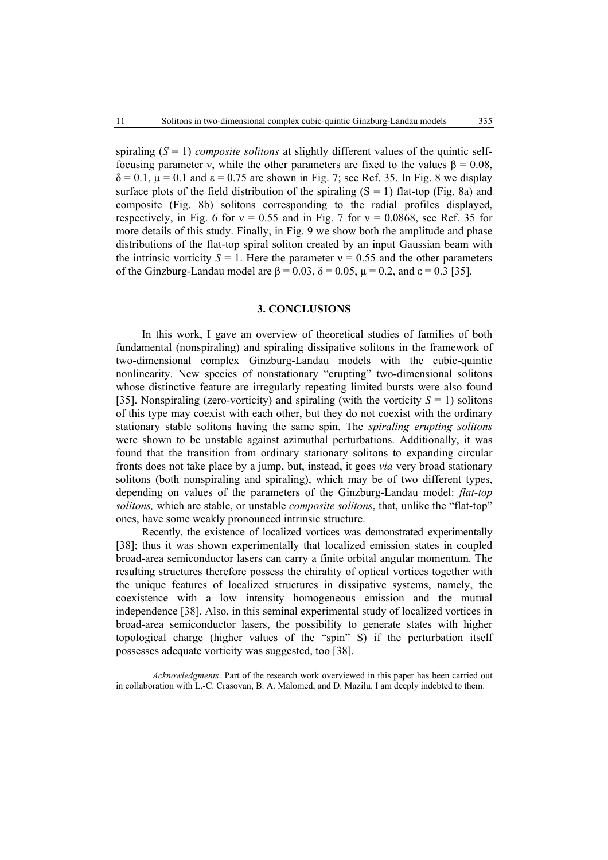spiraling (*S* = 1) *composite solitons* at slightly different values of the quintic selffocusing parameter ν, while the other parameters are fixed to the values β = 0.08,  $\delta = 0.1$ ,  $\mu = 0.1$  and  $\epsilon = 0.75$  are shown in Fig. 7; see Ref. 35. In Fig. 8 we display surface plots of the field distribution of the spiraling  $(S = 1)$  flat-top (Fig. 8a) and composite (Fig. 8b) solitons corresponding to the radial profiles displayed, respectively, in Fig. 6 for  $v = 0.55$  and in Fig. 7 for  $v = 0.0868$ , see Ref. 35 for more details of this study. Finally, in Fig. 9 we show both the amplitude and phase distributions of the flat-top spiral soliton created by an input Gaussian beam with the intrinsic vorticity  $S = 1$ . Here the parameter  $v = 0.55$  and the other parameters of the Ginzburg-Landau model are  $\beta = 0.03$ ,  $\delta = 0.05$ ,  $\mu = 0.2$ , and  $\epsilon = 0.3$  [35].

#### **3. CONCLUSIONS**

In this work, I gave an overview of theoretical studies of families of both fundamental (nonspiraling) and spiraling dissipative solitons in the framework of two-dimensional complex Ginzburg-Landau models with the cubic-quintic nonlinearity. New species of nonstationary "erupting" two-dimensional solitons whose distinctive feature are irregularly repeating limited bursts were also found [35]. Nonspiraling (zero-vorticity) and spiraling (with the vorticity  $S = 1$ ) solitons of this type may coexist with each other, but they do not coexist with the ordinary stationary stable solitons having the same spin. The *spiraling erupting solitons* were shown to be unstable against azimuthal perturbations. Additionally, it was found that the transition from ordinary stationary solitons to expanding circular fronts does not take place by a jump, but, instead, it goes *via* very broad stationary solitons (both nonspiraling and spiraling), which may be of two different types, depending on values of the parameters of the Ginzburg-Landau model: *flat-top solitons,* which are stable, or unstable *composite solitons*, that, unlike the "flat-top" ones, have some weakly pronounced intrinsic structure.

Recently, the existence of localized vortices was demonstrated experimentally [38]; thus it was shown experimentally that localized emission states in coupled broad-area semiconductor lasers can carry a finite orbital angular momentum. The resulting structures therefore possess the chirality of optical vortices together with the unique features of localized structures in dissipative systems, namely, the coexistence with a low intensity homogeneous emission and the mutual independence [38]. Also, in this seminal experimental study of localized vortices in broad-area semiconductor lasers, the possibility to generate states with higher topological charge (higher values of the "spin" S) if the perturbation itself possesses adequate vorticity was suggested, too [38].

*Acknowledgments*. Part of the research work overviewed in this paper has been carried out in collaboration with L.-C. Crasovan, B. A. Malomed, and D. Mazilu. I am deeply indebted to them.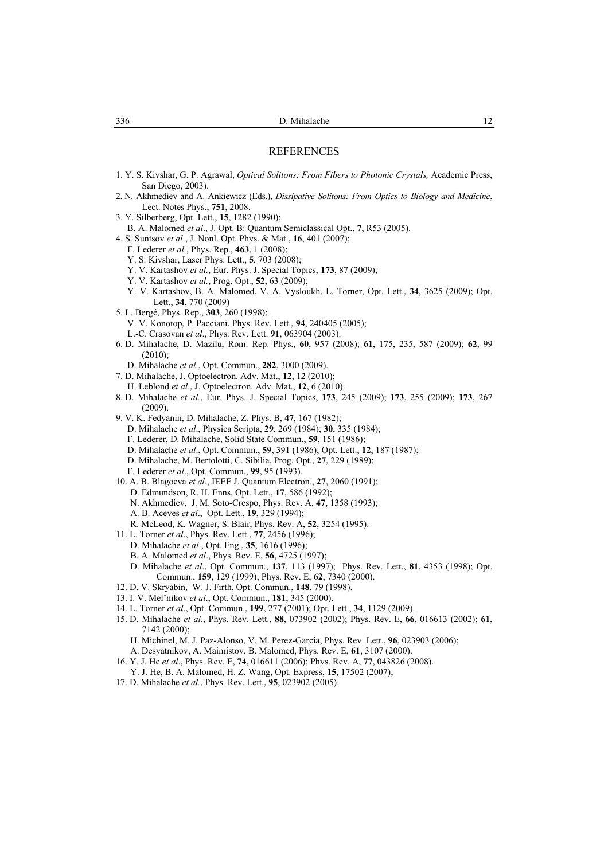#### REFERENCES

- 1. Y. S. Kivshar, G. P. Agrawal, *Optical Solitons: From Fibers to Photonic Crystals,* Academic Press, San Diego, 2003).
- 2. N. Akhmediev and A. Ankiewicz (Eds.), *Dissipative Solitons: From Optics to Biology and Medicine*, Lect. Notes Phys., **751**, 2008.
- 3. Y. Silberberg, Opt. Lett., **15**, 1282 (1990);
- B. A. Malomed *et al*., J. Opt. B: Quantum Semiclassical Opt., **7**, R53 (2005).
- 4. S. Suntsov *et al*., J. Nonl. Opt. Phys. & Mat., **16**, 401 (2007);
	- F. Lederer *et al.*, Phys. Rep., **463**, 1 (2008);
	- Y. S. Kivshar, Laser Phys. Lett., **5**, 703 (2008);
	- Y. V. Kartashov *et al.*, Eur. Phys. J. Special Topics, **173**, 87 (2009);
	- Y. V. Kartashov *et al.*, Prog. Opt., **52**, 63 (2009);
	- Y. V. Kartashov, B. A. Malomed, V. A. Vysloukh, L. Torner, Opt. Lett., **34**, 3625 (2009); Opt. Lett., **34**, 770 (2009)
- 5. L. Bergé, Phys. Rep., **303**, 260 (1998);
	- V. V. Konotop, P. Pacciani, Phys. Rev. Lett., **94**, 240405 (2005);
	- L.-C. Crasovan *et al*., Phys. Rev. Lett. **91**, 063904 (2003).
- 6. D. Mihalache, D. Mazilu, Rom. Rep. Phys., **60**, 957 (2008); **61**, 175, 235, 587 (2009); **62**, 99 (2010);
	- D. Mihalache *et al*., Opt. Commun., **282**, 3000 (2009).
- 7. D. Mihalache, J. Optoelectron. Adv. Mat., **12**, 12 (2010);
- H. Leblond *et al*., J. Optoelectron. Adv. Mat., **12**, 6 (2010).
- 8. D. Mihalache *et al.*, Eur. Phys. J. Special Topics, **173**, 245 (2009); **173**, 255 (2009); **173**, 267 (2009).
- 9. V. K. Fedyanin, D. Mihalache, Z. Phys. B, **47**, 167 (1982);
	- D. Mihalache *et al*., Physica Scripta, **29**, 269 (1984); **30**, 335 (1984);
	- F. Lederer, D. Mihalache, Solid State Commun., **59**, 151 (1986);
	- D. Mihalache *et al*., Opt. Commun., **59**, 391 (1986); Opt. Lett., **12**, 187 (1987);
	- D. Mihalache, M. Bertolotti, C. Sibilia, Prog. Opt., **27**, 229 (1989);
	- F. Lederer *et al*., Opt. Commun., **99**, 95 (1993).
- 10. A. B. Blagoeva *et al*., IEEE J. Quantum Electron., **27**, 2060 (1991);
	- D. Edmundson, R. H. Enns, Opt. Lett., **17**, 586 (1992);
	- N. Akhmediev, J. M. Soto-Crespo, Phys. Rev. A, **47**, 1358 (1993);
	- A. B. Aceves *et al*., Opt. Lett., **19**, 329 (1994);
	- R. McLeod, K. Wagner, S. Blair, Phys. Rev. A, **52**, 3254 (1995).
- 11. L. Torner *et al*., Phys. Rev. Lett., **77**, 2456 (1996);
	- D. Mihalache *et al*., Opt. Eng., **35**, 1616 (1996);
	- B. A. Malomed *et al*., Phys. Rev. E, **56**, 4725 (1997);
	- D. Mihalache *et al*., Opt. Commun., **137**, 113 (1997); Phys. Rev. Lett., **81**, 4353 (1998); Opt. Commun., **159**, 129 (1999); Phys. Rev. E, **62**, 7340 (2000).
- 12. D. V. Skryabin, W. J. Firth, Opt. Commun., **148**, 79 (1998).
- 13. I. V. Mel'nikov *et al*., Opt. Commun., **181**, 345 (2000).
- 14. L. Torner *et al*., Opt. Commun., **199**, 277 (2001); Opt. Lett., **34**, 1129 (2009).
- 15. D. Mihalache *et al*., Phys. Rev. Lett., **88**, 073902 (2002); Phys. Rev. E, **66**, 016613 (2002); **61**, 7142 (2000);
- H. Michinel, M. J. Paz-Alonso, V. M. Perez-Garcia, Phys. Rev. Lett., **96**, 023903 (2006); A. Desyatnikov, A. Maimistov, B. Malomed, Phys. Rev. E, **61**, 3107 (2000).
- 16. Y. J. He *et al*., Phys. Rev. E, **74**, 016611 (2006); Phys. Rev. A, **77**, 043826 (2008).
- Y. J. He, B. A. Malomed, H. Z. Wang, Opt. Express, **15**, 17502 (2007);
- 17. D. Mihalache *et al.*, Phys. Rev. Lett., **95**, 023902 (2005).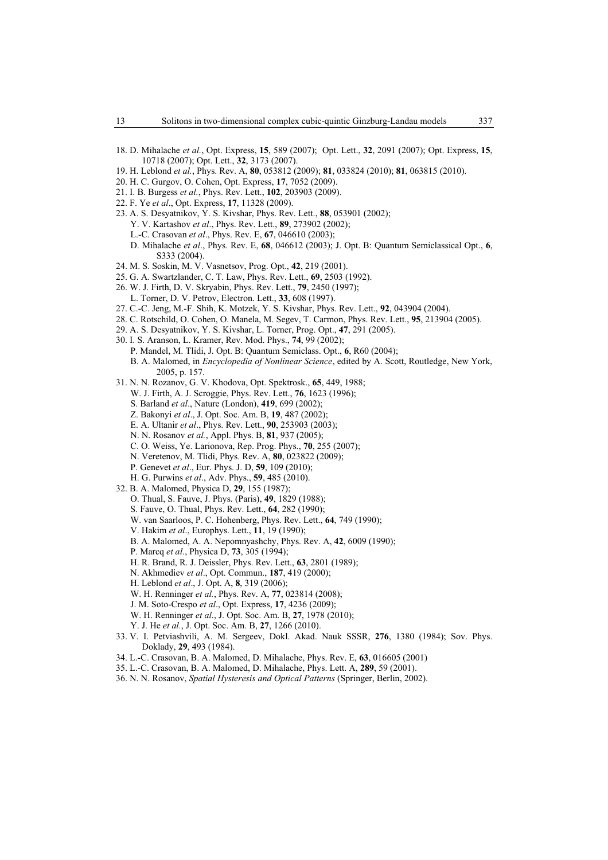- 18. D. Mihalache *et al.*, Opt. Express, **15**, 589 (2007); Opt. Lett., **32**, 2091 (2007); Opt. Express, **15**, 10718 (2007); Opt. Lett., **32**, 3173 (2007).
- 19. H. Leblond *et al.*, Phys. Rev. A, **80**, 053812 (2009); **81**, 033824 (2010); **81**, 063815 (2010).
- 20. H. C. Gurgov, O. Cohen, Opt. Express, **17**, 7052 (2009).
- 21. I. B. Burgess *et al.*, Phys. Rev. Lett., **102**, 203903 (2009).
- 22. F. Ye *et al*., Opt. Express, **17**, 11328 (2009).
- 23. A. S. Desyatnikov, Y. S. Kivshar, Phys. Rev. Lett., **88**, 053901 (2002); Y. V. Kartashov *et al*., Phys. Rev. Lett., **89**, 273902 (2002); L.-C. Crasovan *et al*., Phys. Rev. E, **67**, 046610 (2003);
- D. Mihalache *et al*., Phys. Rev. E, **68**, 046612 (2003); J. Opt. B: Quantum Semiclassical Opt., **6**, S333 (2004).
- 24. M. S. Soskin, M. V. Vasnetsov, Prog. Opt., **42**, 219 (2001).
- 25. G. A. Swartzlander, C. T. Law, Phys. Rev. Lett., **69**, 2503 (1992).
- 26. W. J. Firth, D. V. Skryabin, Phys. Rev. Lett., **79**, 2450 (1997); L. Torner, D. V. Petrov, Electron. Lett., **33**, 608 (1997).
- 
- 27. C.-C. Jeng, M.-F. Shih, K. Motzek, Y. S. Kivshar, Phys. Rev. Lett., **92**, 043904 (2004).
- 28. C. Rotschild, O. Cohen, O. Manela, M. Segev, T. Carmon, Phys. Rev. Lett., **95**, 213904 (2005).
- 29. A. S. Desyatnikov, Y. S. Kivshar, L. Torner, Prog. Opt., **47**, 291 (2005).
- 30. I. S. Aranson, L. Kramer, Rev. Mod. Phys., **74**, 99 (2002);
	- P. Mandel, M. Tlidi, J. Opt. B: Quantum Semiclass. Opt., **6**, R60 (2004); B. A. Malomed, in *Encyclopedia of Nonlinear Science*, edited by A. Scott, Routledge, New York, 2005, p. 157.
- 31. N. N. Rozanov, G. V. Khodova, Opt. Spektrosk., **65**, 449, 1988;
	- W. J. Firth, A. J. Scroggie, Phys. Rev. Lett., **76**, 1623 (1996);
	- S. Barland *et al*., Nature (London), **419**, 699 (2002);
	- Z. Bakonyi *et al*., J. Opt. Soc. Am. B, **19**, 487 (2002);
	- E. A. Ultanir *et al*., Phys. Rev. Lett., **90**, 253903 (2003);
	- N. N. Rosanov *et al.*, Appl. Phys. B, **81**, 937 (2005);
	- C. O. Weiss, Ye. Larionova, Rep. Prog. Phys., **70**, 255 (2007);
	- N. Veretenov, M. Tlidi, Phys. Rev. A, **80**, 023822 (2009);
	- P. Genevet *et al*., Eur. Phys. J. D, **59**, 109 (2010);
	- H. G. Purwins *et al*., Adv. Phys., **59**, 485 (2010).
- 32. B. A. Malomed, Physica D, **29**, 155 (1987);
	- O. Thual, S. Fauve, J. Phys. (Paris), **49**, 1829 (1988);
	- S. Fauve, O. Thual, Phys. Rev. Lett., **64**, 282 (1990);
	- W. van Saarloos, P. C. Hohenberg, Phys. Rev. Lett., **64**, 749 (1990);
	- V. Hakim *et al*., Europhys. Lett., **11**, 19 (1990);
	- B. A. Malomed, A. A. Nepomnyashchy, Phys. Rev. A, **42**, 6009 (1990);
	- P. Marcq *et al*., Physica D, **73**, 305 (1994);
	- H. R. Brand, R. J. Deissler, Phys. Rev. Lett., **63**, 2801 (1989);
	- N. Akhmediev *et al*., Opt. Commun., **187**, 419 (2000);
	- H. Leblond *et al*., J. Opt. A, **8**, 319 (2006);
	- W. H. Renninger *et al.*, Phys. Rev. A, **77**, 023814 (2008);
	- J. M. Soto-Crespo *et al*., Opt. Express, **17**, 4236 (2009);
	- W. H. Renninger *et al*., J. Opt. Soc. Am. B, **27**, 1978 (2010);
	- Y. J. He *et al.*, J. Opt. Soc. Am. B, **27**, 1266 (2010).
- 33. V. I. Petviashvili, A. M. Sergeev, Dokl. Akad. Nauk SSSR, **276**, 1380 (1984); Sov. Phys. Doklady, **29**, 493 (1984).
- 34. L.-C. Crasovan, B. A. Malomed, D. Mihalache, Phys. Rev. E, **63**, 016605 (2001)
- 35. L.-C. Crasovan, B. A. Malomed, D. Mihalache, Phys. Lett. A, **289**, 59 (2001).
- 36. N. N. Rosanov, *Spatial Hysteresis and Optical Patterns* (Springer, Berlin, 2002).